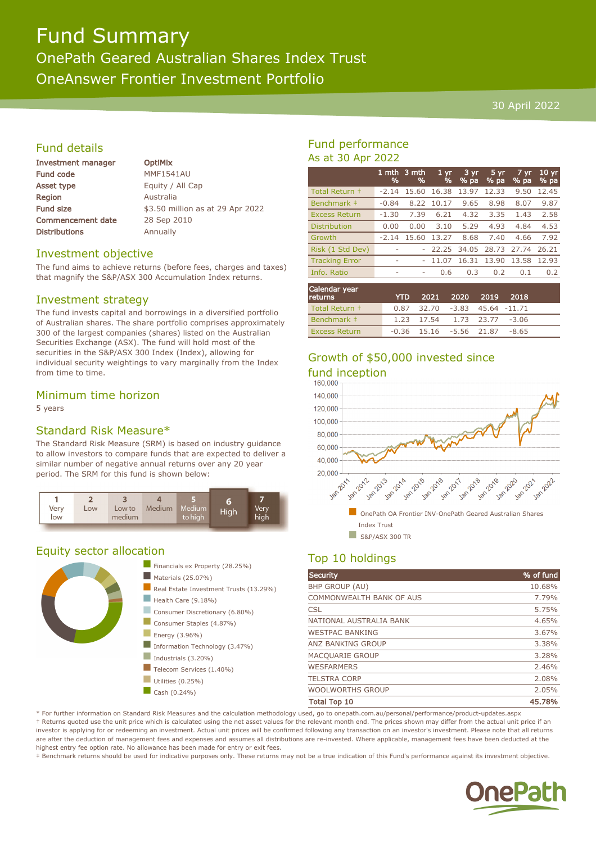# Fund Summary

# OnePath Geared Australian Shares Index Trust

OneAnswer Frontier Investment Portfolio

### 30 April 2022

# Fund details

| Investment manager       |  |  |
|--------------------------|--|--|
| <b>Fund code</b>         |  |  |
| <b>Asset type</b>        |  |  |
| Region                   |  |  |
| <b>Fund size</b>         |  |  |
| <b>Commencement date</b> |  |  |
| <b>Distributions</b>     |  |  |

**OptiMix MMF1541AU** Equity / All Cap **Australia** \$3.50 million as at 29 Apr 2022 28 Sep 2010 Annually

# Investment objective

The fund aims to achieve returns (before fees, charges and taxes) that magnify the S&P/ASX 300 Accumulation Index returns.

# Investment strategy

The fund invests capital and borrowings in a diversified portfolio of Australian shares. The share portfolio comprises approximately 300 of the largest companies (shares) listed on the Australian Securities Exchange (ASX). The fund will hold most of the securities in the S&P/ASX 300 Index (Index), allowing for individual security weightings to vary marginally from the Index from time to time.

# Minimum time horizon

5 years

# Standard Risk Measure\*

The Standard Risk Measure (SRM) is based on industry guidance to allow investors to compare funds that are expected to deliver a similar number of negative annual returns over any 20 year period. The SRM for this fund is shown below:



# Equity sector allocation



# Fund performance As at 30 Apr 2022

|                       | 1 mth<br>% | 3 mth<br>% | 1 <sub>yr</sub><br>% | 3 yr<br>$%$ pa    | 5 yr<br>% pa | $7 \, \text{yr}$<br>$%$ pa | $10 \text{ yr}$<br>% pa |
|-----------------------|------------|------------|----------------------|-------------------|--------------|----------------------------|-------------------------|
| Total Return +        | $-2.14$    | 15.60      | 16.38                | 13.97             | 12.33        | 9.50                       | 12.45                   |
| Benchmark ‡           | $-0.84$    | 8.22       | 10.17                | 9.65              | 8.98         | 8.07                       | 9.87                    |
| <b>Excess Return</b>  | $-1.30$    | 7.39       | 6.21                 | 4.32              | 3.35         | 1.43                       | 2.58                    |
| <b>Distribution</b>   | 0.00       | 0.00       | 3.10                 | 5.29              | 4.93         | 4.84                       | 4.53                    |
| Growth                | $-2.14$    | 15.60      | 13.27                | 8.68              | 7.40         | 4.66                       | 7.92                    |
| Risk (1 Std Dev)      |            |            |                      | 22.25 34.05 28.73 |              | 27.74                      | 26.21                   |
| <b>Tracking Error</b> | ٠          |            | 11.07                | 16.31             | 13.90        | 13.58                      | 12.93                   |
| Info. Ratio           | ٠          | ٠          | 0.6                  | 0.3               | 0.2          | 0.1                        | 0.2                     |
|                       |            |            |                      |                   |              |                            |                         |

| Calendar year<br><b>returns</b> | <b>YTD</b> |                                     | 2021 2020 2019 | 2018 |  |
|---------------------------------|------------|-------------------------------------|----------------|------|--|
| Total Return +                  |            | $0.87$ 32.70 -3.83 45.64 -11.71     |                |      |  |
| Benchmark #                     |            | 1.23 17.54 1.73 23.77 -3.06         |                |      |  |
| <b>Excess Return</b>            |            | $-0.36$ 15.16 $-5.56$ 21.87 $-8.65$ |                |      |  |

# Growth of \$50,000 invested since fund inception



# Top 10 holdings

| <b>Security</b>          | % of fund |
|--------------------------|-----------|
| <b>BHP GROUP (AU)</b>    | 10.68%    |
| COMMONWEALTH BANK OF AUS | 7.79%     |
| <b>CSL</b>               | 5.75%     |
| NATIONAL AUSTRALIA BANK  | 4.65%     |
| <b>WESTPAC BANKING</b>   | 3.67%     |
| ANZ BANKING GROUP        | 3.38%     |
| <b>MACQUARIE GROUP</b>   | 3.28%     |
| <b>WESFARMERS</b>        | 2.46%     |
| <b>TELSTRA CORP</b>      | 2.08%     |
| <b>WOOLWORTHS GROUP</b>  | 2.05%     |
| <b>Total Top 10</b>      | 45.78%    |

\* For further information on Standard Risk Measures and the calculation methodology used, go to onepath.com.au/personal/performance/product-updates.aspx † Returns quoted use the unit price which is calculated using the net asset values for the relevant month end. The prices shown may differ from the actual unit price if an investor is applying for or redeeming an investment. Actual unit prices will be confirmed following any transaction on an investor's investment. Please note that all returns are after the deduction of management fees and expenses and assumes all distributions are re-invested. Where applicable, management fees have been deducted at the highest entry fee option rate. No allowance has been made for entry or exit fees.

‡ Benchmark returns should be used for indicative purposes only. These returns may not be a true indication of this Fund's performance against its investment objective.